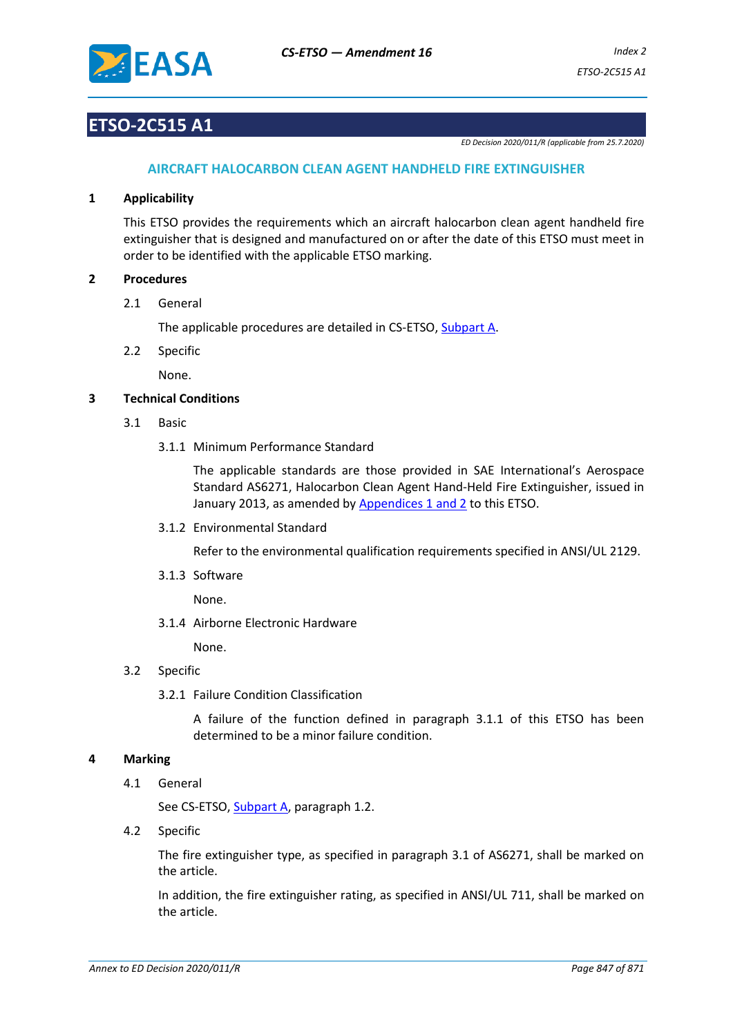

### **ETSO-2C515 A1**

*ED Decision 2020/011/R (applicable from 25.7.2020)*

#### **AIRCRAFT HALOCARBON CLEAN AGENT HANDHELD FIRE EXTINGUISHER**

#### **1 Applicability**

This ETSO provides the requirements which an aircraft halocarbon clean agent handheld fire extinguisher that is designed and manufactured on or after the date of this ETSO must meet in order to be identified with the applicable ETSO marking.

#### **2 Procedures**

2.1 General

The applicable procedures are detailed in CS-ETSO, Subpart A.

2.2 Specific

None.

#### **3 Technical Conditions**

- 3.1 Basic
	- 3.1.1 Minimum Performance Standard

The applicable standards are those provided in SAE International's Aerospace Standard AS6271, Halocarbon Clean Agent Hand-Held Fire Extinguisher, issued in January 2013, as amended b[y Appendices](#page-2-0) 1 and 2 to this ETSO.

3.1.2 Environmental Standard

Refer to the environmental qualification requirements specified in ANSI/UL 2129.

3.1.3 Software

None.

3.1.4 Airborne Electronic Hardware

None.

#### 3.2 Specific

3.2.1 Failure Condition Classification

A failure of the function defined in paragraph 3.1.1 of this ETSO has been determined to be a minor failure condition.

#### **4 Marking**

4.1 General

See CS-ETSO, Subpart A, paragraph 1.2.

4.2 Specific

The fire extinguisher type, as specified in paragraph 3.1 of AS6271, shall be marked on the article.

In addition, the fire extinguisher rating, as specified in ANSI/UL 711, shall be marked on the article.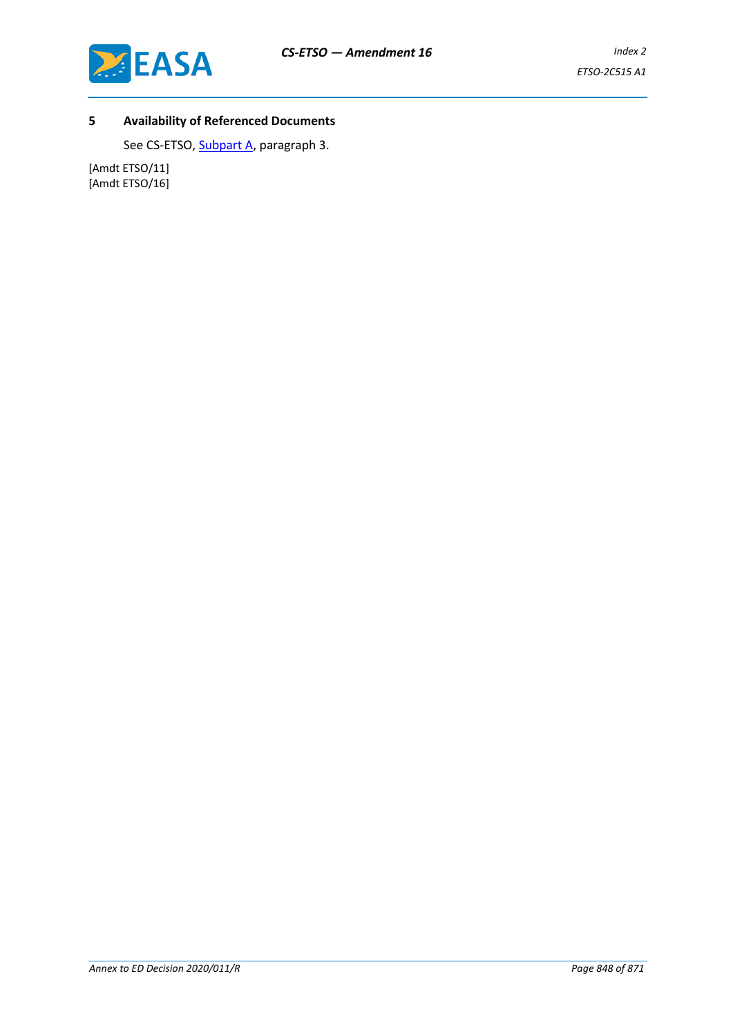

### **5 Availability of Referenced Documents**

See CS-ETSO, Subpart A, paragraph 3.

[Amdt ETSO/11] [Amdt ETSO/16]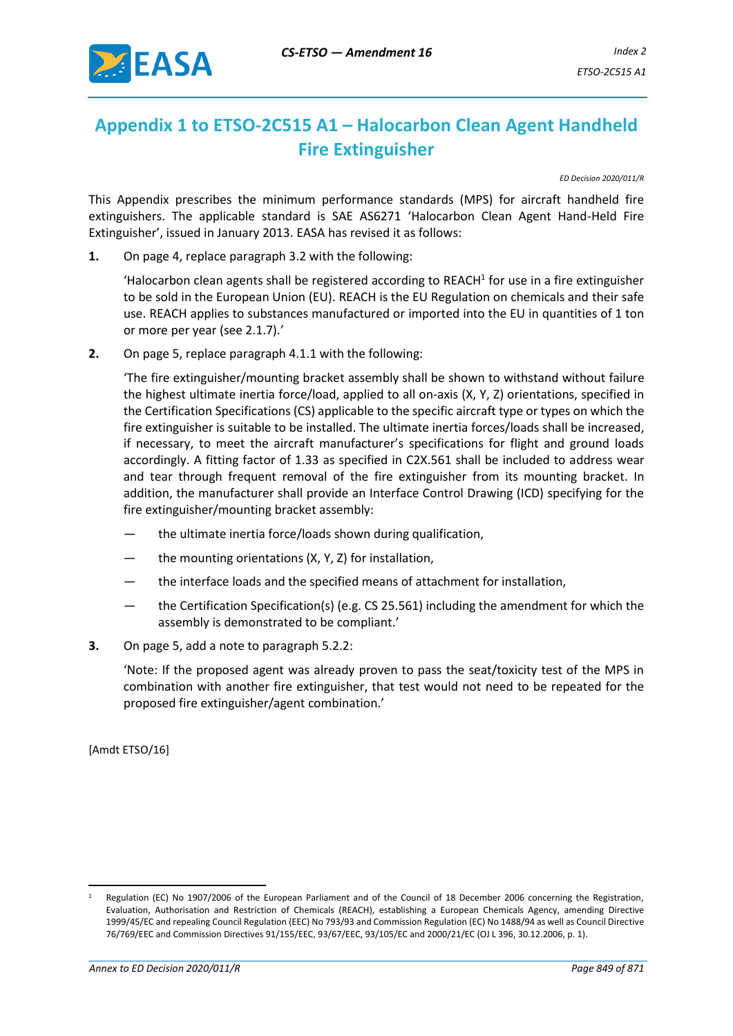

## <span id="page-2-0"></span>**Appendix 1 to ETSO-2C515 A1 – Halocarbon Clean Agent Handheld Fire Extinguisher**

*ED Decision 2020/011/R*

This Appendix prescribes the minimum performance standards (MPS) for aircraft handheld fire extinguishers. The applicable standard is SAE AS6271 'Halocarbon Clean Agent Hand-Held Fire Extinguisher', issued in January 2013. EASA has revised it as follows:

**1.** On page 4, replace paragraph 3.2 with the following:

'Halocarbon clean agents shall be registered according to REACH $1$  for use in a fire extinguisher to be sold in the European Union (EU). REACH is the EU Regulation on chemicals and their safe use. REACH applies to substances manufactured or imported into the EU in quantities of 1 ton or more per year (see 2.1.7).'

**2.** On page 5, replace paragraph 4.1.1 with the following:

'The fire extinguisher/mounting bracket assembly shall be shown to withstand without failure the highest ultimate inertia force/load, applied to all on-axis (X, Y, Z) orientations, specified in the Certification Specifications (CS) applicable to the specific aircraft type or types on which the fire extinguisher is suitable to be installed. The ultimate inertia forces/loads shall be increased, if necessary, to meet the aircraft manufacturer's specifications for flight and ground loads accordingly. A fitting factor of 1.33 as specified in C2X.561 shall be included to address wear and tear through frequent removal of the fire extinguisher from its mounting bracket. In addition, the manufacturer shall provide an Interface Control Drawing (ICD) specifying for the fire extinguisher/mounting bracket assembly:

- the ultimate inertia force/loads shown during qualification.
- the mounting orientations  $(X, Y, Z)$  for installation,
- the interface loads and the specified means of attachment for installation,
- the Certification Specification(s) (e.g. CS 25.561) including the amendment for which the assembly is demonstrated to be compliant.'
- **3.** On page 5, add a note to paragraph 5.2.2:

'Note: If the proposed agent was already proven to pass the seat/toxicity test of the MPS in combination with another fire extinguisher, that test would not need to be repeated for the proposed fire extinguisher/agent combination.'

[Amdt ETSO/16]

Regulation (EC) No 1907/2006 of the European Parliament and of the Council of 18 December 2006 concerning the Registration, Evaluation, Authorisation and Restriction of Chemicals (REACH), establishing a European Chemicals Agency, amending Directive 1999/45/EC and repealing Council Regulation (EEC) No 793/93 and Commission Regulation (EC) No 1488/94 as well as Council Directive 76/769/EEC and Commission Directives 91/155/EEC, 93/67/EEC, 93/105/EC and 2000/21/EC (OJ L 396, 30.12.2006, p. 1).